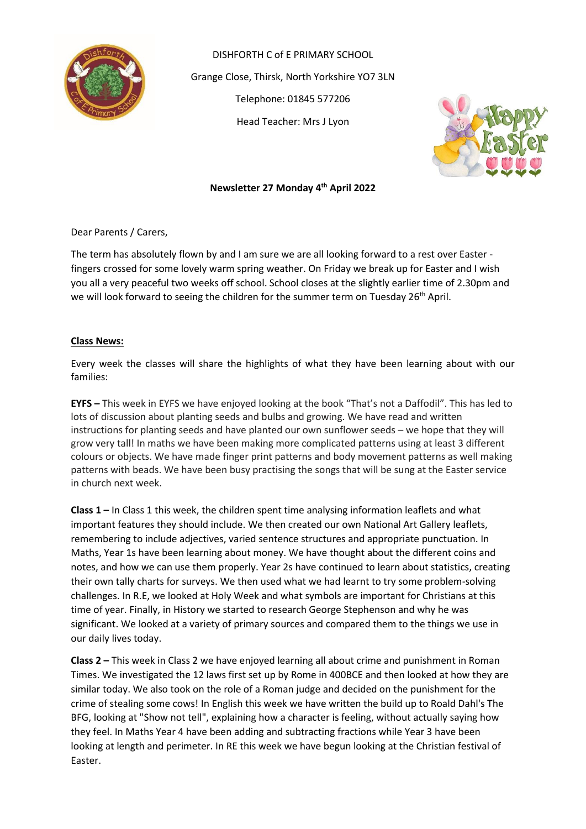

DISHFORTH C of E PRIMARY SCHOOL Grange Close, Thirsk, North Yorkshire YO7 3LN Telephone: 01845 577206 Head Teacher: Mrs J Lyon



## **Newsletter 27 Monday 4 th April 2022**

Dear Parents / Carers,

The term has absolutely flown by and I am sure we are all looking forward to a rest over Easter fingers crossed for some lovely warm spring weather. On Friday we break up for Easter and I wish you all a very peaceful two weeks off school. School closes at the slightly earlier time of 2.30pm and we will look forward to seeing the children for the summer term on Tuesday 26<sup>th</sup> April.

#### **Class News:**

Every week the classes will share the highlights of what they have been learning about with our families:

**EYFS –** This week in EYFS we have enjoyed looking at the book "That's not a Daffodil". This has led to lots of discussion about planting seeds and bulbs and growing. We have read and written instructions for planting seeds and have planted our own sunflower seeds – we hope that they will grow very tall! In maths we have been making more complicated patterns using at least 3 different colours or objects. We have made finger print patterns and body movement patterns as well making patterns with beads. We have been busy practising the songs that will be sung at the Easter service in church next week.

**Class 1 –** In Class 1 this week, the children spent time analysing information leaflets and what important features they should include. We then created our own National Art Gallery leaflets, remembering to include adjectives, varied sentence structures and appropriate punctuation. In Maths, Year 1s have been learning about money. We have thought about the different coins and notes, and how we can use them properly. Year 2s have continued to learn about statistics, creating their own tally charts for surveys. We then used what we had learnt to try some problem-solving challenges. In R.E, we looked at Holy Week and what symbols are important for Christians at this time of year. Finally, in History we started to research George Stephenson and why he was significant. We looked at a variety of primary sources and compared them to the things we use in our daily lives today.

**Class 2 –** This week in Class 2 we have enjoyed learning all about crime and punishment in Roman Times. We investigated the 12 laws first set up by Rome in 400BCE and then looked at how they are similar today. We also took on the role of a Roman judge and decided on the punishment for the crime of stealing some cows! In English this week we have written the build up to Roald Dahl's The BFG, looking at "Show not tell", explaining how a character is feeling, without actually saying how they feel. In Maths Year 4 have been adding and subtracting fractions while Year 3 have been looking at length and perimeter. In RE this week we have begun looking at the Christian festival of Easter.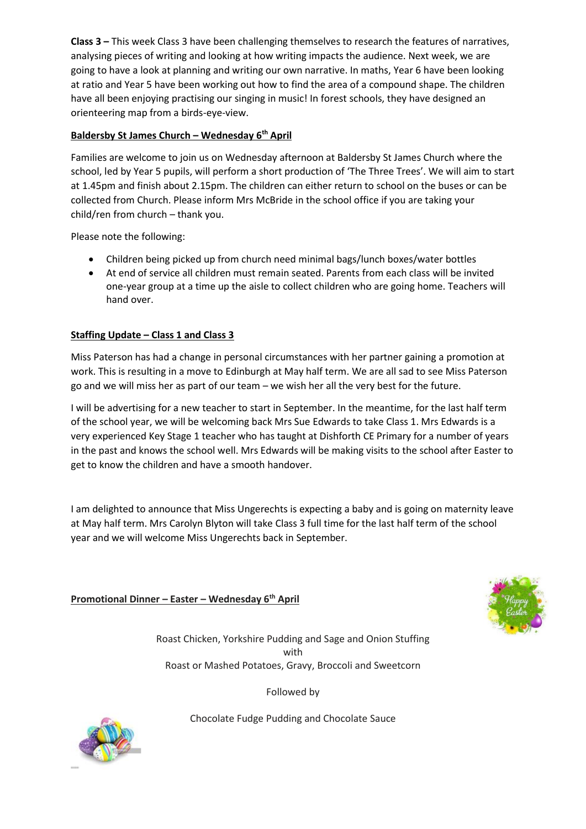**Class 3 –** This week Class 3 have been challenging themselves to research the features of narratives, analysing pieces of writing and looking at how writing impacts the audience. Next week, we are going to have a look at planning and writing our own narrative. In maths, Year 6 have been looking at ratio and Year 5 have been working out how to find the area of a compound shape. The children have all been enjoying practising our singing in music! In forest schools, they have designed an orienteering map from a birds-eye-view.

# **Baldersby St James Church – Wednesday 6th April**

Families are welcome to join us on Wednesday afternoon at Baldersby St James Church where the school, led by Year 5 pupils, will perform a short production of 'The Three Trees'. We will aim to start at 1.45pm and finish about 2.15pm. The children can either return to school on the buses or can be collected from Church. Please inform Mrs McBride in the school office if you are taking your child/ren from church – thank you.

Please note the following:

- Children being picked up from church need minimal bags/lunch boxes/water bottles
- At end of service all children must remain seated. Parents from each class will be invited one-year group at a time up the aisle to collect children who are going home. Teachers will hand over.

## **Staffing Update – Class 1 and Class 3**

Miss Paterson has had a change in personal circumstances with her partner gaining a promotion at work. This is resulting in a move to Edinburgh at May half term. We are all sad to see Miss Paterson go and we will miss her as part of our team – we wish her all the very best for the future.

I will be advertising for a new teacher to start in September. In the meantime, for the last half term of the school year, we will be welcoming back Mrs Sue Edwards to take Class 1. Mrs Edwards is a very experienced Key Stage 1 teacher who has taught at Dishforth CE Primary for a number of years in the past and knows the school well. Mrs Edwards will be making visits to the school after Easter to get to know the children and have a smooth handover.

I am delighted to announce that Miss Ungerechts is expecting a baby and is going on maternity leave at May half term. Mrs Carolyn Blyton will take Class 3 full time for the last half term of the school year and we will welcome Miss Ungerechts back in September.

**Promotional Dinner – Easter – Wednesday 6 th April**



Roast Chicken, Yorkshire Pudding and Sage and Onion Stuffing with Roast or Mashed Potatoes, Gravy, Broccoli and Sweetcorn

Followed by

Chocolate Fudge Pudding and Chocolate Sauce

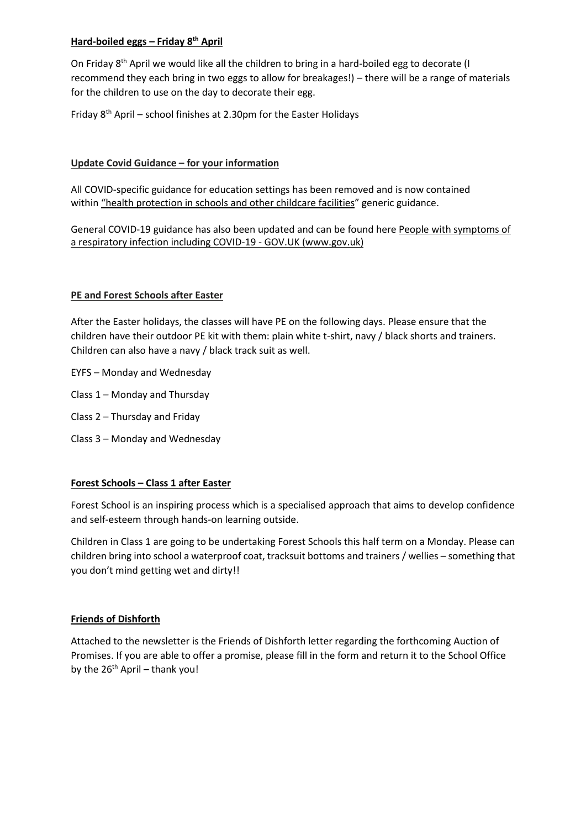### **Hard-boiled eggs – Friday 8th April**

On Friday 8<sup>th</sup> April we would like all the children to bring in a hard-boiled egg to decorate (I recommend they each bring in two eggs to allow for breakages!) – there will be a range of materials for the children to use on the day to decorate their egg.

Friday  $8<sup>th</sup>$  April – school finishes at 2.30pm for the Easter Holidays

### **Update Covid Guidance – for your information**

All COVID-specific guidance for education settings has been removed and is now contained within ["](https://www.gov.uk/government/publications/health-protection-in-schools-and-other-childcare-facilities)health [protection](https://www.gov.uk/government/publications/health-protection-in-schools-and-other-childcare-facilities) in schools and other [childcare](https://www.gov.uk/government/publications/health-protection-in-schools-and-other-childcare-facilities) facilities" generic guidance.

General COVID-19 guidance has also been updated and can be found here People with [symptoms](https://www.gov.uk/guidance/people-with-symptoms-of-a-respiratory-infection-including-covid-19#what-to-do-if-you-are-a-close-contact-of-someone-who-has-had-a-positive-test-result-for-covid-19) of a respiratory infection including COVID-19 - GOV.UK [\(www.gov.uk\)](https://www.gov.uk/guidance/people-with-symptoms-of-a-respiratory-infection-including-covid-19#what-to-do-if-you-are-a-close-contact-of-someone-who-has-had-a-positive-test-result-for-covid-19)

#### **PE and Forest Schools after Easter**

After the Easter holidays, the classes will have PE on the following days. Please ensure that the children have their outdoor PE kit with them: plain white t-shirt, navy / black shorts and trainers. Children can also have a navy / black track suit as well.

- EYFS Monday and Wednesday
- Class 1 Monday and Thursday
- Class 2 Thursday and Friday
- Class 3 Monday and Wednesday

#### **Forest Schools – Class 1 after Easter**

Forest School is an inspiring process which is a specialised approach that aims to develop confidence and self-esteem through hands-on learning outside.

Children in Class 1 are going to be undertaking Forest Schools this half term on a Monday. Please can children bring into school a waterproof coat, tracksuit bottoms and trainers / wellies – something that you don't mind getting wet and dirty!!

#### **Friends of Dishforth**

Attached to the newsletter is the Friends of Dishforth letter regarding the forthcoming Auction of Promises. If you are able to offer a promise, please fill in the form and return it to the School Office by the  $26<sup>th</sup>$  April – thank you!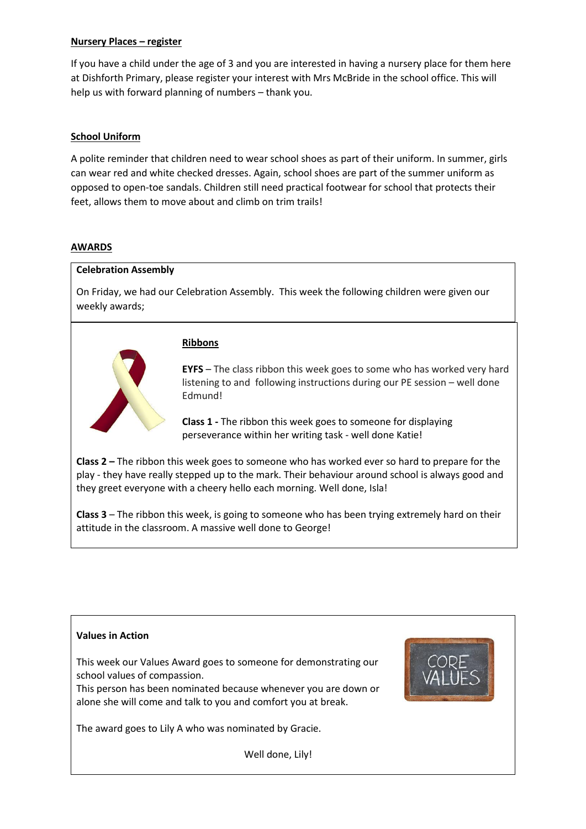#### **Nursery Places – register**

If you have a child under the age of 3 and you are interested in having a nursery place for them here at Dishforth Primary, please register your interest with Mrs McBride in the school office. This will help us with forward planning of numbers – thank you.

## **School Uniform**

A polite reminder that children need to wear school shoes as part of their uniform. In summer, girls can wear red and white checked dresses. Again, school shoes are part of the summer uniform as opposed to open-toe sandals. Children still need practical footwear for school that protects their feet, allows them to move about and climb on trim trails!

#### **AWARDS**

#### **Celebration Assembly**

On Friday, we had our Celebration Assembly. This week the following children were given our weekly awards;

## **Ribbons**



**EYFS** – The class ribbon this week goes to some who has worked very hard listening to and following instructions during our PE session – well done Edmund!

**Class 1 -** The ribbon this week goes to someone for displaying perseverance within her writing task - well done Katie!

**Class 2 –** The ribbon this week goes to someone who has worked ever so hard to prepare for the play - they have really stepped up to the mark. Their behaviour around school is always good and they greet everyone with a cheery hello each morning. Well done, Isla!

**Class 3** – The ribbon this week, is going to someone who has been trying extremely hard on their attitude in the classroom. A massive well done to George!

#### **Values in Action**

This week our Values Award goes to someone for demonstrating our school values of compassion.

This person has been nominated because whenever you are down or alone she will come and talk to you and comfort you at break.



The award goes to Lily A who was nominated by Gracie.

Well done, Lily!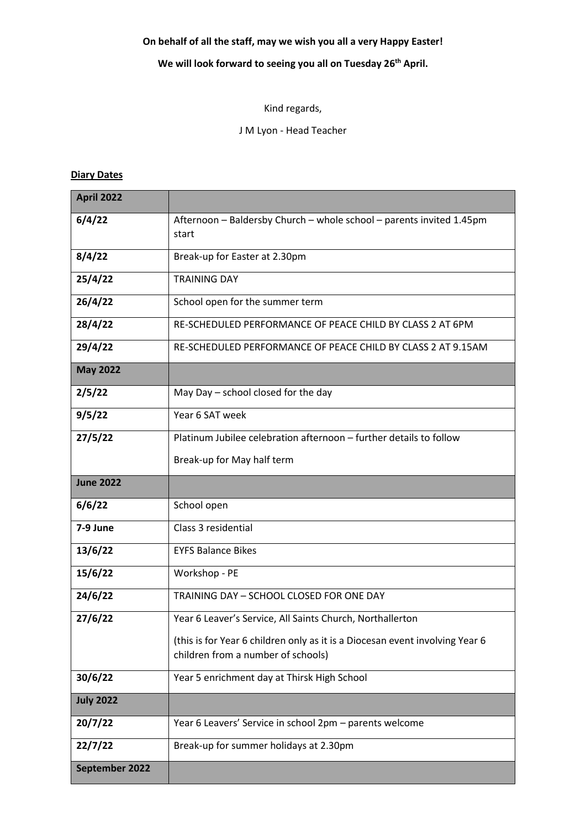# **On behalf of all the staff, may we wish you all a very Happy Easter!**

# **We will look forward to seeing you all on Tuesday 26th April.**

# Kind regards,

J M Lyon - Head Teacher

# **Diary Dates**

| <b>April 2022</b> |                                                                                                                    |  |  |  |  |
|-------------------|--------------------------------------------------------------------------------------------------------------------|--|--|--|--|
| 6/4/22            | Afternoon - Baldersby Church - whole school - parents invited 1.45pm<br>start                                      |  |  |  |  |
| 8/4/22            | Break-up for Easter at 2.30pm                                                                                      |  |  |  |  |
| 25/4/22           | <b>TRAINING DAY</b>                                                                                                |  |  |  |  |
| 26/4/22           | School open for the summer term                                                                                    |  |  |  |  |
| 28/4/22           | RE-SCHEDULED PERFORMANCE OF PEACE CHILD BY CLASS 2 AT 6PM                                                          |  |  |  |  |
| 29/4/22           | RE-SCHEDULED PERFORMANCE OF PEACE CHILD BY CLASS 2 AT 9.15AM                                                       |  |  |  |  |
| <b>May 2022</b>   |                                                                                                                    |  |  |  |  |
| 2/5/22            | May Day $-$ school closed for the day                                                                              |  |  |  |  |
| 9/5/22            | Year 6 SAT week                                                                                                    |  |  |  |  |
| 27/5/22           | Platinum Jubilee celebration afternoon - further details to follow                                                 |  |  |  |  |
|                   | Break-up for May half term                                                                                         |  |  |  |  |
| <b>June 2022</b>  |                                                                                                                    |  |  |  |  |
| 6/6/22            | School open                                                                                                        |  |  |  |  |
| 7-9 June          | Class 3 residential                                                                                                |  |  |  |  |
| 13/6/22           | <b>EYFS Balance Bikes</b>                                                                                          |  |  |  |  |
| 15/6/22           | Workshop - PE                                                                                                      |  |  |  |  |
| 24/6/22           | TRAINING DAY - SCHOOL CLOSED FOR ONE DAY                                                                           |  |  |  |  |
| 27/6/22           | Year 6 Leaver's Service, All Saints Church, Northallerton                                                          |  |  |  |  |
|                   | (this is for Year 6 children only as it is a Diocesan event involving Year 6<br>children from a number of schools) |  |  |  |  |
| 30/6/22           | Year 5 enrichment day at Thirsk High School                                                                        |  |  |  |  |
|                   |                                                                                                                    |  |  |  |  |
| <b>July 2022</b>  |                                                                                                                    |  |  |  |  |
| 20/7/22           | Year 6 Leavers' Service in school 2pm - parents welcome                                                            |  |  |  |  |
| 22/7/22           | Break-up for summer holidays at 2.30pm                                                                             |  |  |  |  |
| September 2022    |                                                                                                                    |  |  |  |  |